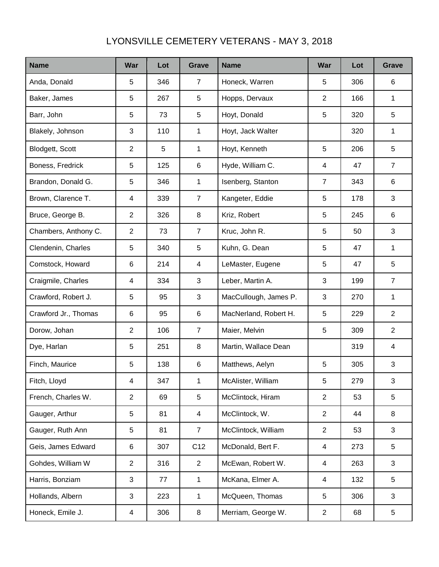## LYONSVILLE CEMETERY VETERANS - MAY 3, 2018

| <b>Name</b>          | War            | Lot | <b>Grave</b>   | <b>Name</b>           | War            | Lot | <b>Grave</b>   |
|----------------------|----------------|-----|----------------|-----------------------|----------------|-----|----------------|
| Anda, Donald         | 5              | 346 | $\overline{7}$ | Honeck, Warren        | 5              | 306 | 6              |
| Baker, James         | 5              | 267 | 5              | Hopps, Dervaux        | $\overline{2}$ | 166 | 1              |
| Barr, John           | 5              | 73  | 5              | Hoyt, Donald          | 5              | 320 | 5              |
| Blakely, Johnson     | 3              | 110 | 1              | Hoyt, Jack Walter     |                | 320 | 1              |
| Blodgett, Scott      | $\overline{2}$ | 5   | 1              | Hoyt, Kenneth         | 5              | 206 | 5              |
| Boness, Fredrick     | 5              | 125 | $\,6$          | Hyde, William C.      | 4              | 47  | $\overline{7}$ |
| Brandon, Donald G.   | 5              | 346 | 1              | Isenberg, Stanton     | $\overline{7}$ | 343 | 6              |
| Brown, Clarence T.   | 4              | 339 | $\overline{7}$ | Kangeter, Eddie       | 5              | 178 | 3              |
| Bruce, George B.     | $\overline{2}$ | 326 | 8              | Kriz, Robert          | 5              | 245 | 6              |
| Chambers, Anthony C. | $\overline{2}$ | 73  | $\overline{7}$ | Kruc, John R.         | 5              | 50  | 3              |
| Clendenin, Charles   | 5              | 340 | 5              | Kuhn, G. Dean         | 5              | 47  | 1              |
| Comstock, Howard     | 6              | 214 | 4              | LeMaster, Eugene      | 5              | 47  | 5              |
| Craigmile, Charles   | 4              | 334 | 3              | Leber, Martin A.      | 3              | 199 | $\overline{7}$ |
| Crawford, Robert J.  | 5              | 95  | 3              | MacCullough, James P. | 3              | 270 | 1              |
| Crawford Jr., Thomas | 6              | 95  | $\,6$          | MacNerland, Robert H. | 5              | 229 | 2              |
| Dorow, Johan         | $\overline{2}$ | 106 | $\overline{7}$ | Maier, Melvin         | 5              | 309 | 2              |
| Dye, Harlan          | 5              | 251 | 8              | Martin, Wallace Dean  |                | 319 | 4              |
| Finch, Maurice       | 5              | 138 | 6              | Matthews, Aelyn       | 5              | 305 | 3              |
| Fitch, Lloyd         | 4              | 347 | 1              | McAlister, William    | 5              | 279 | 3              |
| French, Charles W.   | 2              | 69  | 5              | McClintock, Hiram     | $\overline{2}$ | 53  | 5              |
| Gauger, Arthur       | 5              | 81  | 4              | McClintock, W.        | $\overline{2}$ | 44  | 8              |
| Gauger, Ruth Ann     | 5              | 81  | $\overline{7}$ | McClintock, William   | $\overline{2}$ | 53  | 3              |
| Geis, James Edward   | 6              | 307 | C12            | McDonald, Bert F.     | 4              | 273 | 5              |
| Gohdes, William W    | $\overline{2}$ | 316 | $\overline{2}$ | McEwan, Robert W.     | 4              | 263 | 3              |
| Harris, Bonziam      | 3              | 77  | 1              | McKana, Elmer A.      | 4              | 132 | 5              |
| Hollands, Albern     | 3              | 223 | 1              | McQueen, Thomas       | 5              | 306 | 3              |
| Honeck, Emile J.     | 4              | 306 | 8              | Merriam, George W.    | $\overline{c}$ | 68  | 5              |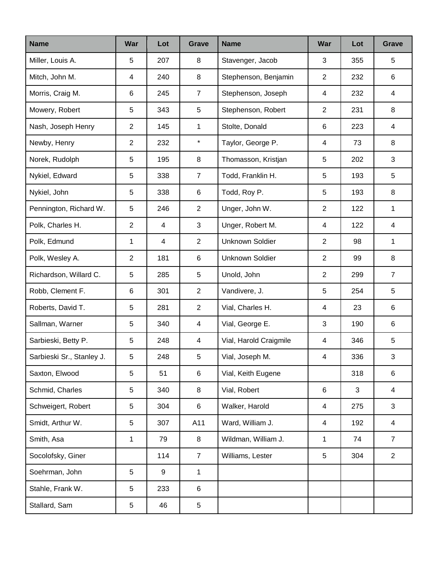| <b>Name</b>               | <b>War</b>              | Lot | Grave                   | <b>Name</b>            | War            | Lot | <b>Grave</b>   |
|---------------------------|-------------------------|-----|-------------------------|------------------------|----------------|-----|----------------|
| Miller, Louis A.          | 5                       | 207 | 8                       | Stavenger, Jacob       | 3              | 355 | 5              |
| Mitch, John M.            | $\overline{\mathbf{4}}$ | 240 | 8                       | Stephenson, Benjamin   | $\overline{2}$ | 232 | 6              |
| Morris, Craig M.          | 6                       | 245 | $\overline{7}$          | Stephenson, Joseph     | 4              | 232 | 4              |
| Mowery, Robert            | 5                       | 343 | 5                       | Stephenson, Robert     | $\overline{c}$ | 231 | 8              |
| Nash, Joseph Henry        | $\overline{2}$          | 145 | 1                       | Stolte, Donald         | 6              | 223 | 4              |
| Newby, Henry              | $\overline{2}$          | 232 | $\star$                 | Taylor, George P.      | 4              | 73  | 8              |
| Norek, Rudolph            | 5                       | 195 | 8                       | Thomasson, Kristjan    | 5              | 202 | 3              |
| Nykiel, Edward            | 5                       | 338 | $\overline{7}$          | Todd, Franklin H.      | 5              | 193 | 5              |
| Nykiel, John              | 5                       | 338 | $\,6\,$                 | Todd, Roy P.           | 5              | 193 | 8              |
| Pennington, Richard W.    | 5                       | 246 | $\overline{2}$          | Unger, John W.         | $\overline{2}$ | 122 | 1              |
| Polk, Charles H.          | $\overline{2}$          | 4   | 3                       | Unger, Robert M.       | 4              | 122 | $\overline{4}$ |
| Polk, Edmund              | 1                       | 4   | $\overline{2}$          | <b>Unknown Soldier</b> | $\overline{2}$ | 98  | $\mathbf 1$    |
| Polk, Wesley A.           | $\overline{2}$          | 181 | 6                       | <b>Unknown Soldier</b> | $\overline{2}$ | 99  | 8              |
| Richardson, Willard C.    | 5                       | 285 | 5                       | Unold, John            | $\overline{2}$ | 299 | $\overline{7}$ |
| Robb, Clement F.          | $\,6$                   | 301 | $\overline{2}$          | Vandivere, J.          | 5              | 254 | 5              |
| Roberts, David T.         | 5                       | 281 | $\overline{2}$          | Vial, Charles H.       | 4              | 23  | 6              |
| Sallman, Warner           | 5                       | 340 | $\overline{\mathbf{4}}$ | Vial, George E.        | $\mathbf{3}$   | 190 | 6              |
| Sarbieski, Betty P.       | 5                       | 248 | 4                       | Vial, Harold Craigmile | 4              | 346 | 5              |
| Sarbieski Sr., Stanley J. | 5                       | 248 | 5                       | Vial, Joseph M.        | 4              | 336 | 3              |
| Saxton, Elwood            | 5                       | 51  | $\,6\,$                 | Vial, Keith Eugene     |                | 318 | 6              |
| Schmid, Charles           | 5                       | 340 | 8                       | Vial, Robert           | 6              | 3   | 4              |
| Schweigert, Robert        | 5                       | 304 | 6                       | Walker, Harold         | 4              | 275 | 3              |
| Smidt, Arthur W.          | 5                       | 307 | A11                     | Ward, William J.       | 4              | 192 | 4              |
| Smith, Asa                | 1                       | 79  | 8                       | Wildman, William J.    | $\mathbf{1}$   | 74  | $\overline{7}$ |
| Socolofsky, Giner         |                         | 114 | $\overline{7}$          | Williams, Lester       | 5              | 304 | $\overline{2}$ |
| Soehrman, John            | 5                       | 9   | $\mathbf{1}$            |                        |                |     |                |
| Stahle, Frank W.          | $\,$ 5 $\,$             | 233 | 6                       |                        |                |     |                |
| Stallard, Sam             | $\,$ 5 $\,$             | 46  | 5                       |                        |                |     |                |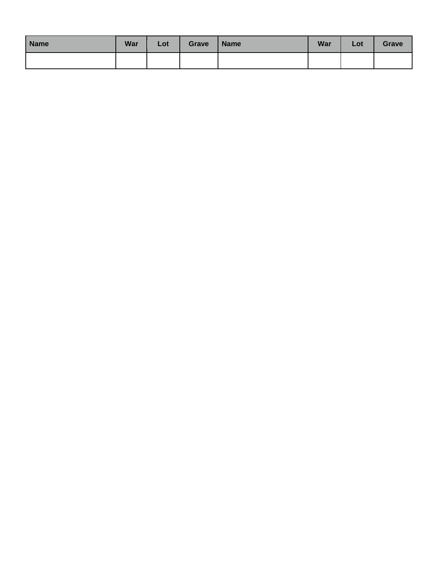| <b>Name</b> | <b>War</b> | Lot | Grave | <b>Name</b> | <b>War</b> | Lot | <b>Grave</b> |
|-------------|------------|-----|-------|-------------|------------|-----|--------------|
|             |            |     |       |             |            |     |              |